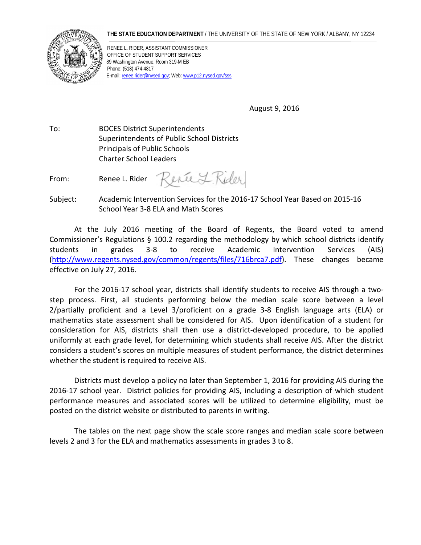## **THE STATE EDUCATION DEPARTMENT** / THE UNIVERSITY OF THE STATE OF NEW YORK / ALBANY, NY 12234



RENEE L. RIDER, ASSISTANT COMMISSIONER OFFICE OF STUDENT SUPPORT SERVICES 89 Washington Avenue, Room 319-M EB Phone: (518) 474-4817 E-mail[: renee.rider@nysed.gov;](mailto:renee.rider@nysed.gov) Web[: www.p12.nysed.gov/sss](http://www.p12.nysed.gov/sss/)

August 9, 2016

To: BOCES District Superintendents Superintendents of Public School Districts Principals of Public Schools Charter School Leaders

ence L. Rider From: Renee L. Rider

Subject: Academic Intervention Services for the 2016-17 School Year Based on 2015-16 School Year 3-8 ELA and Math Scores

At the July 2016 meeting of the Board of Regents, the Board voted to amend Commissioner's Regulations § 100.2 regarding the methodology by which school districts identify students in grades 3-8 to receive Academic Intervention Services (AIS) [\(http://www.regents.nysed.gov/common/regents/files/716brca7.pdf\)](http://www.regents.nysed.gov/common/regents/files/716brca7.pdf). These changes became effective on July 27, 2016.

For the 2016-17 school year, districts shall identify students to receive AIS through a twostep process. First, all students performing below the median scale score between a level 2/partially proficient and a Level 3/proficient on a grade 3-8 English language arts (ELA) or mathematics state assessment shall be considered for AIS. Upon identification of a student for consideration for AIS, districts shall then use a district-developed procedure, to be applied uniformly at each grade level, for determining which students shall receive AIS. After the district considers a student's scores on multiple measures of student performance, the district determines whether the student is required to receive AIS.

Districts must develop a policy no later than September 1, 2016 for providing AIS during the 2016-17 school year. District policies for providing AIS, including a description of which student performance measures and associated scores will be utilized to determine eligibility, must be posted on the district website or distributed to parents in writing.

The tables on the next page show the scale score ranges and median scale score between levels 2 and 3 for the ELA and mathematics assessments in grades 3 to 8.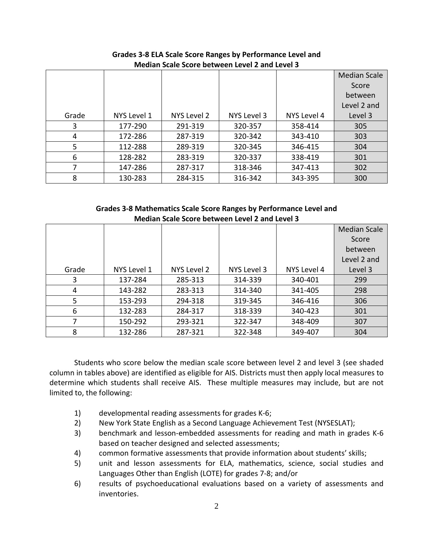|       |             |             |             |             | <b>Median Scale</b> |
|-------|-------------|-------------|-------------|-------------|---------------------|
|       |             |             |             |             | Score               |
|       |             |             |             |             | between             |
|       |             |             |             |             | Level 2 and         |
| Grade | NYS Level 1 | NYS Level 2 | NYS Level 3 | NYS Level 4 | Level 3             |
| 3     | 177-290     | 291-319     | 320-357     | 358-414     | 305                 |
| 4     | 172-286     | 287-319     | 320-342     | 343-410     | 303                 |
| 5     | 112-288     | 289-319     | 320-345     | 346-415     | 304                 |
| 6     | 128-282     | 283-319     | 320-337     | 338-419     | 301                 |
| 7     | 147-286     | 287-317     | 318-346     | 347-413     | 302                 |
| 8     | 130-283     | 284-315     | 316-342     | 343-395     | 300                 |

**Grades 3-8 ELA Scale Score Ranges by Performance Level and Median Scale Score between Level 2 and Level 3**

**Grades 3-8 Mathematics Scale Score Ranges by Performance Level and Median Scale Score between Level 2 and Level 3**

|       |             |             |             |             | <b>Median Scale</b> |
|-------|-------------|-------------|-------------|-------------|---------------------|
|       |             |             |             |             | Score               |
|       |             |             |             |             | between             |
|       |             |             |             |             | Level 2 and         |
| Grade | NYS Level 1 | NYS Level 2 | NYS Level 3 | NYS Level 4 | Level 3             |
| 3     | 137-284     | 285-313     | 314-339     | 340-401     | 299                 |
| 4     | 143-282     | 283-313     | 314-340     | 341-405     | 298                 |
| 5     | 153-293     | 294-318     | 319-345     | 346-416     | 306                 |
| 6     | 132-283     | 284-317     | 318-339     | 340-423     | 301                 |
| 7     | 150-292     | 293-321     | 322-347     | 348-409     | 307                 |
| 8     | 132-286     | 287-321     | 322-348     | 349-407     | 304                 |

Students who score below the median scale score between level 2 and level 3 (see shaded column in tables above) are identified as eligible for AIS. Districts must then apply local measures to determine which students shall receive AIS. These multiple measures may include, but are not limited to, the following:

- 1) developmental reading assessments for grades K-6;
- 2) New York State English as a Second Language Achievement Test (NYSESLAT);
- 3) benchmark and lesson-embedded assessments for reading and math in grades K-6 based on teacher designed and selected assessments;
- 4) common formative assessments that provide information about students' skills;
- 5) unit and lesson assessments for ELA, mathematics, science, social studies and Languages Other than English (LOTE) for grades 7-8; and/or
- 6) results of psychoeducational evaluations based on a variety of assessments and inventories.